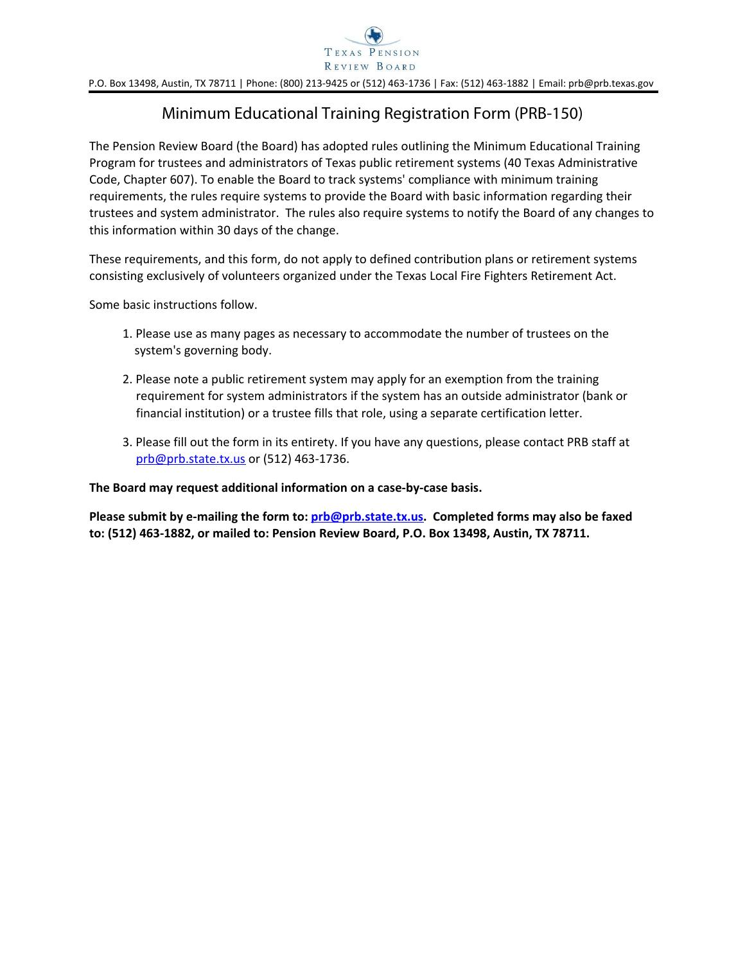

P.O. Box 13498, Austin, TX 78711 | Phone: (800) 213-9425 or (512) 463-1736 | Fax: (512) 463-1882 | Email: prb@prb.texas.gov

## Minimum Educational Training Registration Form (PRB-150)

The Pension Review Board (the Board) has adopted rules outlining the Minimum Educational Training Program for trustees and administrators of Texas public retirement systems (40 Texas Administrative Code, Chapter 607). To enable the Board to track systems' compliance with minimum training requirements, the rules require systems to provide the Board with basic information regarding their trustees and system administrator. The rules also require systems to notify the Board of any changes to this information within 30 days of the change.

These requirements, and this form, do not apply to defined contribution plans or retirement systems consisting exclusively of volunteers organized under the Texas Local Fire Fighters Retirement Act.

Some basic instructions follow.

- 1. Please use as many pages as necessary to accommodate the number of trustees on the system's governing body.
- 2. Please note a public retirement system may apply for an exemption from the training requirement for system administrators if the system has an outside administrator (bank or financial institution) or a trustee fills that role, using a separate certification letter.
- 3. Please fill out the form in its entirety. If you have any questions, please contact PRB staff at [prb@prb.state.tx.us](mailto:prb@prb.state.tx.us?subject=PRB%20150) or (512) 463-1736.

**The Board may request additional information on a case-by-case basis.** 

**Please submit by e-mailing the form to: [prb@prb.state.tx.us](mailto:prb@prb.state.tx.us?subject=PRB-150). Completed forms may also be faxed to: (512) 463-1882, or mailed to: Pension Review Board, P.O. Box 13498, Austin, TX 78711.**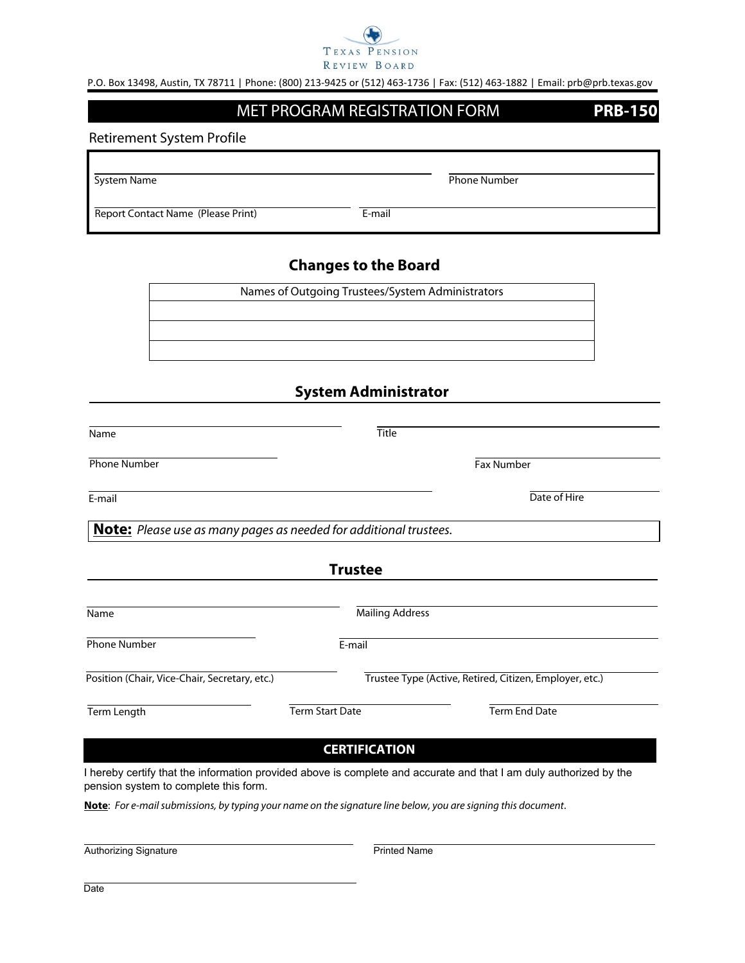

P.O. Box 13498, Austin, TX 78711 | Phone: (800) 213-9425 or (512) 463-1736 | Fax: (512) 463-1882 | Email: prb@prb.texas.gov

## MET PROGRAM REGISTRATION FORM **PRB-150**

Retirement System Profile

System Name **Phone Number** Phone Number

Report Contact Name (Please Print) E-mail

## **Changes to the Board**

Names of Outgoing Trustees/System Administrators

## **System Administrator**

| <b>Title</b>                                                             |                                                         |
|--------------------------------------------------------------------------|---------------------------------------------------------|
|                                                                          | <b>Fax Number</b>                                       |
|                                                                          | Date of Hire                                            |
| <b>Note:</b> Please use as many pages as needed for additional trustees. |                                                         |
| <b>Trustee</b>                                                           |                                                         |
| <b>Mailing Address</b>                                                   |                                                         |
| E-mail                                                                   |                                                         |
|                                                                          | Trustee Type (Active, Retired, Citizen, Employer, etc.) |
| <b>Term Start Date</b>                                                   | <b>Term End Date</b>                                    |
|                                                                          |                                                         |

**CERTIFICATION**

I hereby certify that the information provided above is complete and accurate and that I am duly authorized by the pension system to complete this form.

**Note**: *For e-mail submissions, by typing your name on the signature line below, you are signing this document*.

Authorizing Signature

Printed Name

**Date**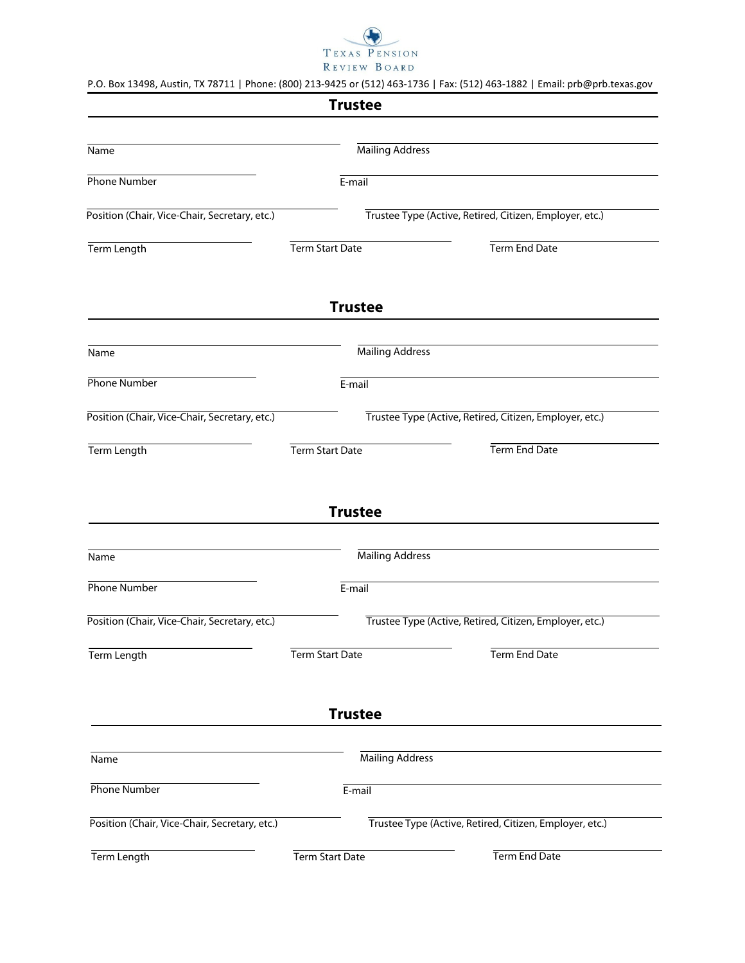

|  | P.O. Box 13498, Austin, TX 78711   Phone: (800) 213-9425 or (512) 463-1736   Fax: (512) 463-1882   Email: prb@prb.texas.gov |  |
|--|-----------------------------------------------------------------------------------------------------------------------------|--|

|                                               | <b>Trustee</b>                                          |                                                         |
|-----------------------------------------------|---------------------------------------------------------|---------------------------------------------------------|
|                                               |                                                         |                                                         |
| Name                                          |                                                         | <b>Mailing Address</b>                                  |
| Phone Number                                  | $E$ -mail                                               |                                                         |
| Position (Chair, Vice-Chair, Secretary, etc.) |                                                         | Trustee Type (Active, Retired, Citizen, Employer, etc.) |
| Term Length                                   | Term Start Date                                         | Term End Date                                           |
|                                               | <b>Trustee</b>                                          |                                                         |
| Name                                          |                                                         | <b>Mailing Address</b>                                  |
| <b>Phone Number</b>                           | E-mail                                                  |                                                         |
| Position (Chair, Vice-Chair, Secretary, etc.) | Trustee Type (Active, Retired, Citizen, Employer, etc.) |                                                         |
| Term Length                                   | Term Start Date                                         | Term End Date                                           |
| Name                                          | <b>Trustee</b>                                          | <b>Mailing Address</b>                                  |
| Phone Number                                  | $E-mail$                                                |                                                         |
| Position (Chair, Vice-Chair, Secretary, etc.) |                                                         | Trustee Type (Active, Retired, Citizen, Employer, etc.) |
| Term Length                                   | <b>Term Start Date</b>                                  | Term End Date                                           |
|                                               | <b>Trustee</b>                                          |                                                         |
|                                               |                                                         |                                                         |
| Name                                          |                                                         | <b>Mailing Address</b>                                  |
| Phone Number                                  | $E$ -mail                                               |                                                         |
| Position (Chair, Vice-Chair, Secretary, etc.) |                                                         | Trustee Type (Active, Retired, Citizen, Employer, etc.) |
| Term Length                                   | <b>Term Start Date</b>                                  | Term End Date                                           |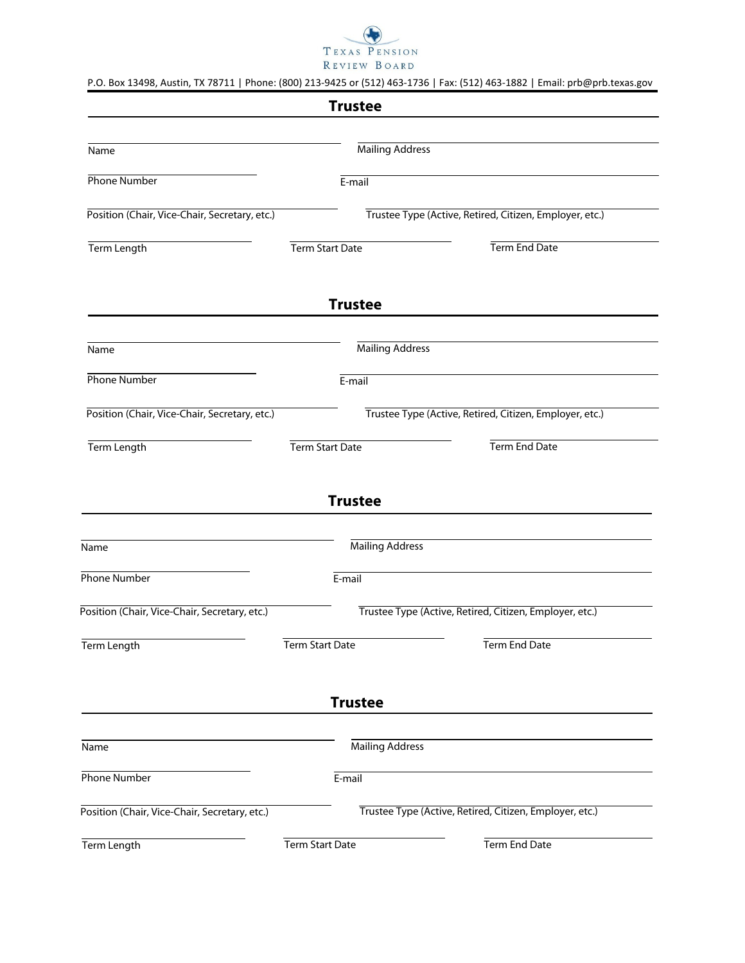

|  |  |  | P.O. Box 13498, Austin, TX 78711   Phone: (800) 213-9425 or (512) 463-1736   Fax: (512) 463-1882   Email: prb@prb.texas.gov |  |
|--|--|--|-----------------------------------------------------------------------------------------------------------------------------|--|
|--|--|--|-----------------------------------------------------------------------------------------------------------------------------|--|

|                                               | <b>Trustee</b>         |                                                         |
|-----------------------------------------------|------------------------|---------------------------------------------------------|
|                                               |                        |                                                         |
| Name                                          |                        | <b>Mailing Address</b>                                  |
| <b>Phone Number</b>                           | E-mail                 |                                                         |
| Position (Chair, Vice-Chair, Secretary, etc.) |                        | Trustee Type (Active, Retired, Citizen, Employer, etc.) |
| <b>Term Length</b>                            | Term Start Date        | Term End Date                                           |
|                                               | <b>Trustee</b>         |                                                         |
| Name                                          |                        | <b>Mailing Address</b>                                  |
| Phone Number                                  | E-mail                 |                                                         |
| Position (Chair, Vice-Chair, Secretary, etc.) |                        | Trustee Type (Active, Retired, Citizen, Employer, etc.) |
| Term Length                                   | Term Start Date        | Term End Date                                           |
| Name                                          | <b>Trustee</b>         | <b>Mailing Address</b>                                  |
|                                               |                        |                                                         |
| <b>Phone Number</b>                           | $E$ -mail              |                                                         |
| Position (Chair, Vice-Chair, Secretary, etc.) |                        | Trustee Type (Active, Retired, Citizen, Employer, etc.) |
| Term Length                                   | <b>Term Start Date</b> | <b>Term End Date</b>                                    |
|                                               | <b>Trustee</b>         |                                                         |
|                                               |                        |                                                         |
| Name                                          |                        | <b>Mailing Address</b>                                  |
| <b>Phone Number</b>                           | E-mail                 |                                                         |
| Position (Chair, Vice-Chair, Secretary, etc.) |                        | Trustee Type (Active, Retired, Citizen, Employer, etc.) |
| Term Length                                   | <b>Term Start Date</b> | Term End Date                                           |